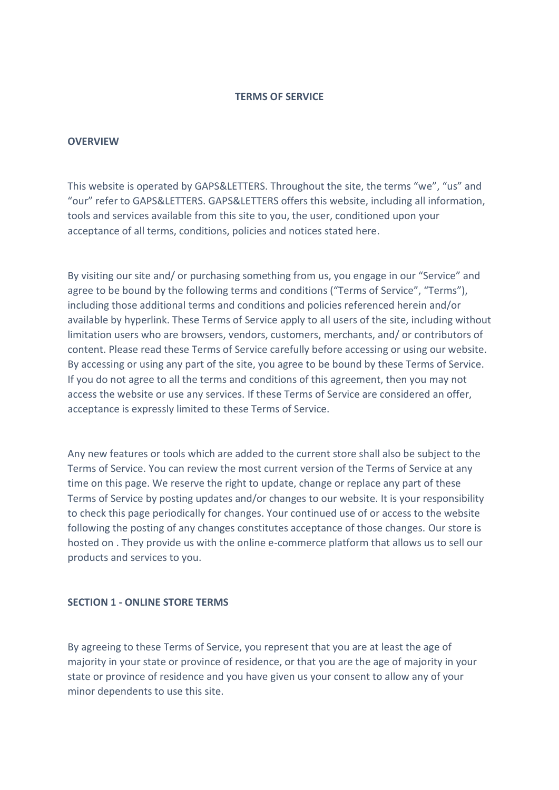### **TERMS OF SERVICE**

### **OVERVIEW**

This website is operated by GAPS&LETTERS. Throughout the site, the terms "we", "us" and "our" refer to GAPS&LETTERS. GAPS&LETTERS offers this website, including all information, tools and services available from this site to you, the user, conditioned upon your acceptance of all terms, conditions, policies and notices stated here.

By visiting our site and/ or purchasing something from us, you engage in our "Service" and agree to be bound by the following terms and conditions ("Terms of Service", "Terms"), including those additional terms and conditions and policies referenced herein and/or available by hyperlink. These Terms of Service apply to all users of the site, including without limitation users who are browsers, vendors, customers, merchants, and/ or contributors of content. Please read these Terms of Service carefully before accessing or using our website. By accessing or using any part of the site, you agree to be bound by these Terms of Service. If you do not agree to all the terms and conditions of this agreement, then you may not access the website or use any services. If these Terms of Service are considered an offer, acceptance is expressly limited to these Terms of Service.

Any new features or tools which are added to the current store shall also be subject to the Terms of Service. You can review the most current version of the Terms of Service at any time on this page. We reserve the right to update, change or replace any part of these Terms of Service by posting updates and/or changes to our website. It is your responsibility to check this page periodically for changes. Your continued use of or access to the website following the posting of any changes constitutes acceptance of those changes. Our store is hosted on . They provide us with the online e-commerce platform that allows us to sell our products and services to you.

# **SECTION 1 - ONLINE STORE TERMS**

By agreeing to these Terms of Service, you represent that you are at least the age of majority in your state or province of residence, or that you are the age of majority in your state or province of residence and you have given us your consent to allow any of your minor dependents to use this site.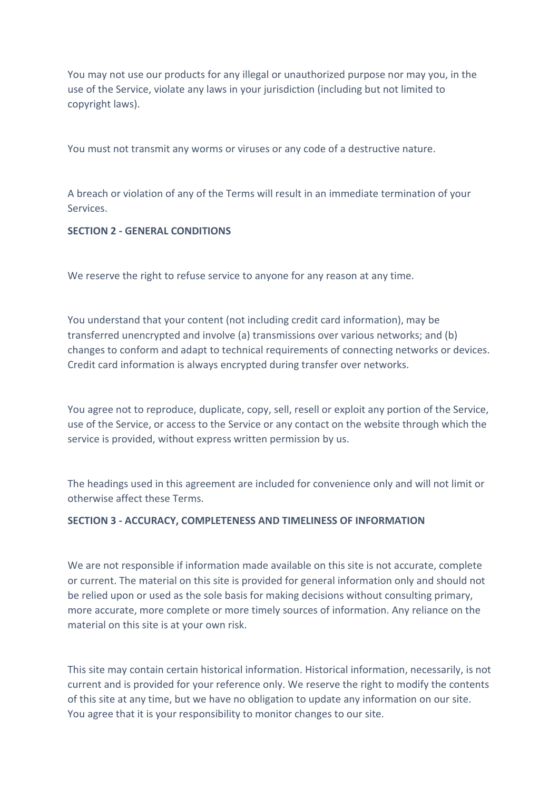You may not use our products for any illegal or unauthorized purpose nor may you, in the use of the Service, violate any laws in your jurisdiction (including but not limited to copyright laws).

You must not transmit any worms or viruses or any code of a destructive nature.

A breach or violation of any of the Terms will result in an immediate termination of your Services.

# **SECTION 2 - GENERAL CONDITIONS**

We reserve the right to refuse service to anyone for any reason at any time.

You understand that your content (not including credit card information), may be transferred unencrypted and involve (a) transmissions over various networks; and (b) changes to conform and adapt to technical requirements of connecting networks or devices. Credit card information is always encrypted during transfer over networks.

You agree not to reproduce, duplicate, copy, sell, resell or exploit any portion of the Service, use of the Service, or access to the Service or any contact on the website through which the service is provided, without express written permission by us.

The headings used in this agreement are included for convenience only and will not limit or otherwise affect these Terms.

## **SECTION 3 - ACCURACY, COMPLETENESS AND TIMELINESS OF INFORMATION**

We are not responsible if information made available on this site is not accurate, complete or current. The material on this site is provided for general information only and should not be relied upon or used as the sole basis for making decisions without consulting primary, more accurate, more complete or more timely sources of information. Any reliance on the material on this site is at your own risk.

This site may contain certain historical information. Historical information, necessarily, is not current and is provided for your reference only. We reserve the right to modify the contents of this site at any time, but we have no obligation to update any information on our site. You agree that it is your responsibility to monitor changes to our site.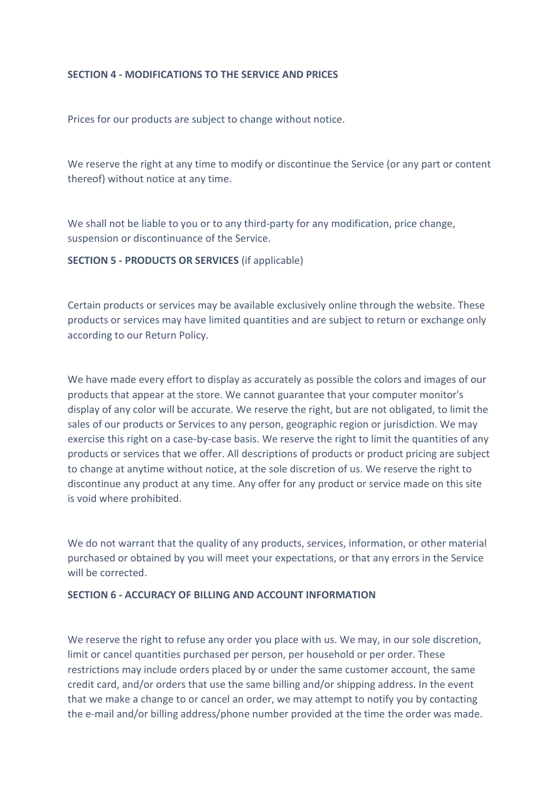# **SECTION 4 - MODIFICATIONS TO THE SERVICE AND PRICES**

Prices for our products are subject to change without notice.

We reserve the right at any time to modify or discontinue the Service (or any part or content thereof) without notice at any time.

We shall not be liable to you or to any third-party for any modification, price change, suspension or discontinuance of the Service.

### **SECTION 5 - PRODUCTS OR SERVICES** (if applicable)

Certain products or services may be available exclusively online through the website. These products or services may have limited quantities and are subject to return or exchange only according to our Return Policy.

We have made every effort to display as accurately as possible the colors and images of our products that appear at the store. We cannot guarantee that your computer monitor's display of any color will be accurate. We reserve the right, but are not obligated, to limit the sales of our products or Services to any person, geographic region or jurisdiction. We may exercise this right on a case-by-case basis. We reserve the right to limit the quantities of any products or services that we offer. All descriptions of products or product pricing are subject to change at anytime without notice, at the sole discretion of us. We reserve the right to discontinue any product at any time. Any offer for any product or service made on this site is void where prohibited.

We do not warrant that the quality of any products, services, information, or other material purchased or obtained by you will meet your expectations, or that any errors in the Service will be corrected.

### **SECTION 6 - ACCURACY OF BILLING AND ACCOUNT INFORMATION**

We reserve the right to refuse any order you place with us. We may, in our sole discretion, limit or cancel quantities purchased per person, per household or per order. These restrictions may include orders placed by or under the same customer account, the same credit card, and/or orders that use the same billing and/or shipping address. In the event that we make a change to or cancel an order, we may attempt to notify you by contacting the e-mail and/or billing address/phone number provided at the time the order was made.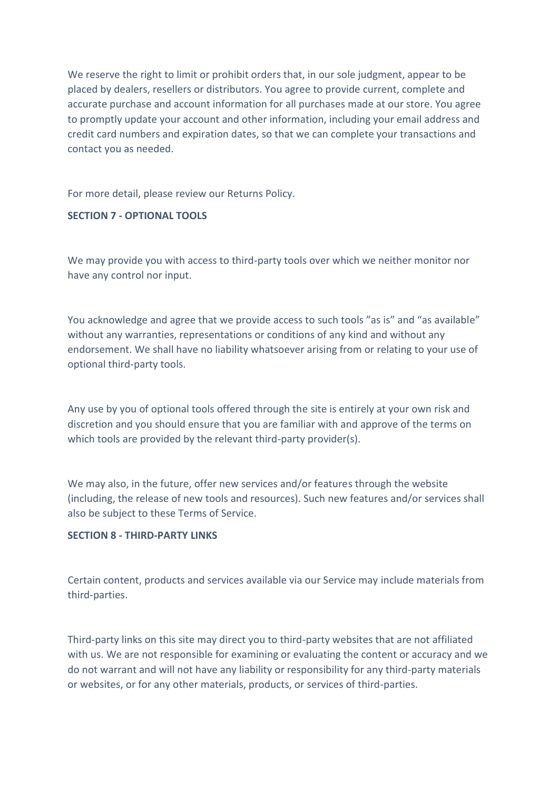We reserve the right to limit or prohibit orders that, in our sole judgment, appear to be placed by dealers, resellers or distributors. You agree to provide current, complete and accurate purchase and account information for all purchases made at our store. You agree to promptly update your account and other information, including your email address and credit card numbers and expiration dates, so that we can complete your transactions and contact you as needed.

For more detail, please review our Returns Policy.

# **SECTION 7 - OPTIONAL TOOLS**

We may provide you with access to third-party tools over which we neither monitor nor have any control nor input.

You acknowledge and agree that we provide access to such tools "as is" and "as available" without any warranties, representations or conditions of any kind and without any endorsement. We shall have no liability whatsoever arising from or relating to your use of optional third-party tools.

Any use by you of optional tools offered through the site is entirely at your own risk and discretion and you should ensure that you are familiar with and approve of the terms on which tools are provided by the relevant third-party provider(s).

We may also, in the future, offer new services and/or features through the website (including, the release of new tools and resources). Such new features and/or services shall also be subject to these Terms of Service.

# **SECTION 8 - THIRD-PARTY LINKS**

Certain content, products and services available via our Service may include materials from third-parties.

Third-party links on this site may direct you to third-party websites that are not affiliated with us. We are not responsible for examining or evaluating the content or accuracy and we do not warrant and will not have any liability or responsibility for any third-party materials or websites, or for any other materials, products, or services of third-parties.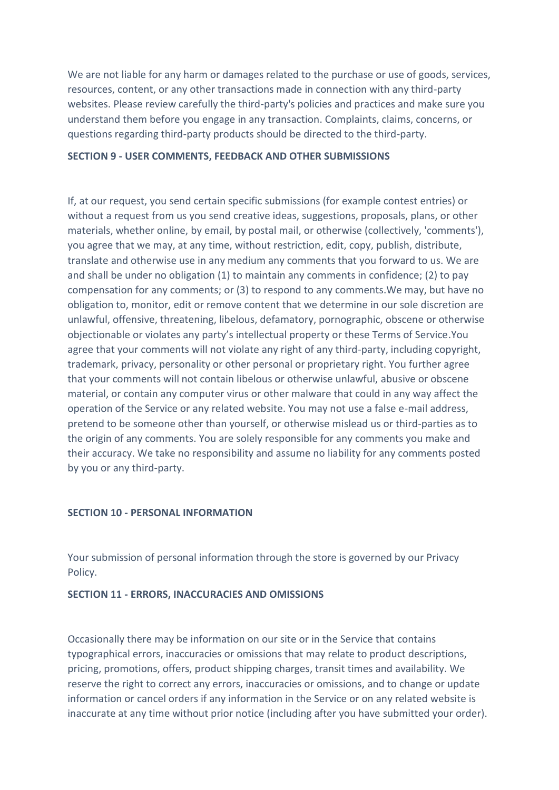We are not liable for any harm or damages related to the purchase or use of goods, services, resources, content, or any other transactions made in connection with any third-party websites. Please review carefully the third-party's policies and practices and make sure you understand them before you engage in any transaction. Complaints, claims, concerns, or questions regarding third-party products should be directed to the third-party.

### **SECTION 9 - USER COMMENTS, FEEDBACK AND OTHER SUBMISSIONS**

If, at our request, you send certain specific submissions (for example contest entries) or without a request from us you send creative ideas, suggestions, proposals, plans, or other materials, whether online, by email, by postal mail, or otherwise (collectively, 'comments'), you agree that we may, at any time, without restriction, edit, copy, publish, distribute, translate and otherwise use in any medium any comments that you forward to us. We are and shall be under no obligation (1) to maintain any comments in confidence; (2) to pay compensation for any comments; or (3) to respond to any comments.We may, but have no obligation to, monitor, edit or remove content that we determine in our sole discretion are unlawful, offensive, threatening, libelous, defamatory, pornographic, obscene or otherwise objectionable or violates any party's intellectual property or these Terms of Service.You agree that your comments will not violate any right of any third-party, including copyright, trademark, privacy, personality or other personal or proprietary right. You further agree that your comments will not contain libelous or otherwise unlawful, abusive or obscene material, or contain any computer virus or other malware that could in any way affect the operation of the Service or any related website. You may not use a false e-mail address, pretend to be someone other than yourself, or otherwise mislead us or third-parties as to the origin of any comments. You are solely responsible for any comments you make and their accuracy. We take no responsibility and assume no liability for any comments posted by you or any third-party.

## **SECTION 10 - PERSONAL INFORMATION**

Your submission of personal information through the store is governed by our Privacy Policy.

### **SECTION 11 - ERRORS, INACCURACIES AND OMISSIONS**

Occasionally there may be information on our site or in the Service that contains typographical errors, inaccuracies or omissions that may relate to product descriptions, pricing, promotions, offers, product shipping charges, transit times and availability. We reserve the right to correct any errors, inaccuracies or omissions, and to change or update information or cancel orders if any information in the Service or on any related website is inaccurate at any time without prior notice (including after you have submitted your order).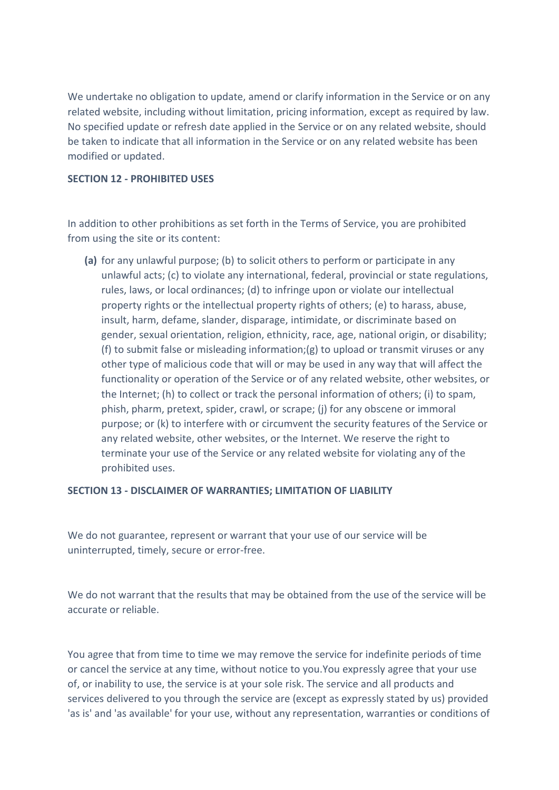We undertake no obligation to update, amend or clarify information in the Service or on any related website, including without limitation, pricing information, except as required by law. No specified update or refresh date applied in the Service or on any related website, should be taken to indicate that all information in the Service or on any related website has been modified or updated.

# **SECTION 12 - PROHIBITED USES**

In addition to other prohibitions as set forth in the Terms of Service, you are prohibited from using the site or its content:

**(a)** for any unlawful purpose; (b) to solicit others to perform or participate in any unlawful acts; (c) to violate any international, federal, provincial or state regulations, rules, laws, or local ordinances; (d) to infringe upon or violate our intellectual property rights or the intellectual property rights of others; (e) to harass, abuse, insult, harm, defame, slander, disparage, intimidate, or discriminate based on gender, sexual orientation, religion, ethnicity, race, age, national origin, or disability; (f) to submit false or misleading information;(g) to upload or transmit viruses or any other type of malicious code that will or may be used in any way that will affect the functionality or operation of the Service or of any related website, other websites, or the Internet; (h) to collect or track the personal information of others; (i) to spam, phish, pharm, pretext, spider, crawl, or scrape; (j) for any obscene or immoral purpose; or (k) to interfere with or circumvent the security features of the Service or any related website, other websites, or the Internet. We reserve the right to terminate your use of the Service or any related website for violating any of the prohibited uses.

## **SECTION 13 - DISCLAIMER OF WARRANTIES; LIMITATION OF LIABILITY**

We do not guarantee, represent or warrant that your use of our service will be uninterrupted, timely, secure or error-free.

We do not warrant that the results that may be obtained from the use of the service will be accurate or reliable.

You agree that from time to time we may remove the service for indefinite periods of time or cancel the service at any time, without notice to you.You expressly agree that your use of, or inability to use, the service is at your sole risk. The service and all products and services delivered to you through the service are (except as expressly stated by us) provided 'as is' and 'as available' for your use, without any representation, warranties or conditions of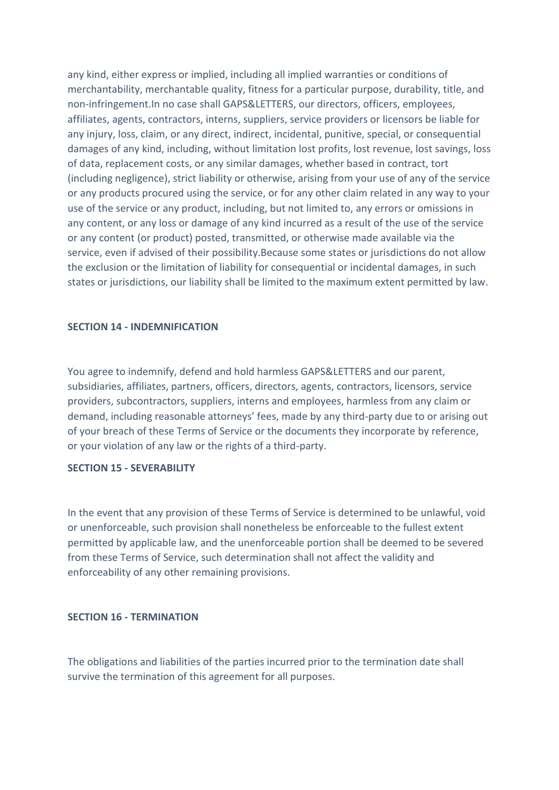any kind, either express or implied, including all implied warranties or conditions of merchantability, merchantable quality, fitness for a particular purpose, durability, title, and non-infringement.In no case shall GAPS&LETTERS, our directors, officers, employees, affiliates, agents, contractors, interns, suppliers, service providers or licensors be liable for any injury, loss, claim, or any direct, indirect, incidental, punitive, special, or consequential damages of any kind, including, without limitation lost profits, lost revenue, lost savings, loss of data, replacement costs, or any similar damages, whether based in contract, tort (including negligence), strict liability or otherwise, arising from your use of any of the service or any products procured using the service, or for any other claim related in any way to your use of the service or any product, including, but not limited to, any errors or omissions in any content, or any loss or damage of any kind incurred as a result of the use of the service or any content (or product) posted, transmitted, or otherwise made available via the service, even if advised of their possibility.Because some states or jurisdictions do not allow the exclusion or the limitation of liability for consequential or incidental damages, in such states or jurisdictions, our liability shall be limited to the maximum extent permitted by law.

### **SECTION 14 - INDEMNIFICATION**

You agree to indemnify, defend and hold harmless GAPS&LETTERS and our parent, subsidiaries, affiliates, partners, officers, directors, agents, contractors, licensors, service providers, subcontractors, suppliers, interns and employees, harmless from any claim or demand, including reasonable attorneys' fees, made by any third-party due to or arising out of your breach of these Terms of Service or the documents they incorporate by reference, or your violation of any law or the rights of a third-party.

### **SECTION 15 - SEVERABILITY**

In the event that any provision of these Terms of Service is determined to be unlawful, void or unenforceable, such provision shall nonetheless be enforceable to the fullest extent permitted by applicable law, and the unenforceable portion shall be deemed to be severed from these Terms of Service, such determination shall not affect the validity and enforceability of any other remaining provisions.

### **SECTION 16 - TERMINATION**

The obligations and liabilities of the parties incurred prior to the termination date shall survive the termination of this agreement for all purposes.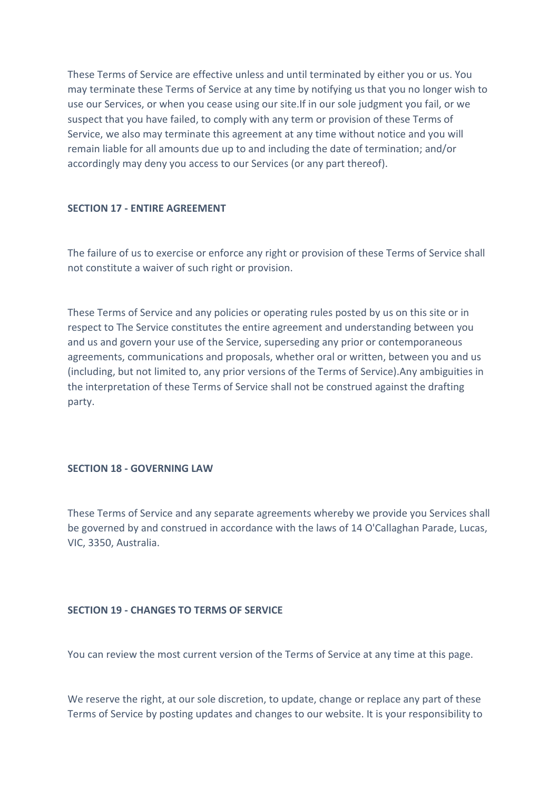These Terms of Service are effective unless and until terminated by either you or us. You may terminate these Terms of Service at any time by notifying us that you no longer wish to use our Services, or when you cease using our site.If in our sole judgment you fail, or we suspect that you have failed, to comply with any term or provision of these Terms of Service, we also may terminate this agreement at any time without notice and you will remain liable for all amounts due up to and including the date of termination; and/or accordingly may deny you access to our Services (or any part thereof).

## **SECTION 17 - ENTIRE AGREEMENT**

The failure of us to exercise or enforce any right or provision of these Terms of Service shall not constitute a waiver of such right or provision.

These Terms of Service and any policies or operating rules posted by us on this site or in respect to The Service constitutes the entire agreement and understanding between you and us and govern your use of the Service, superseding any prior or contemporaneous agreements, communications and proposals, whether oral or written, between you and us (including, but not limited to, any prior versions of the Terms of Service).Any ambiguities in the interpretation of these Terms of Service shall not be construed against the drafting party.

## **SECTION 18 - GOVERNING LAW**

These Terms of Service and any separate agreements whereby we provide you Services shall be governed by and construed in accordance with the laws of 14 O'Callaghan Parade, Lucas, VIC, 3350, Australia.

## **SECTION 19 - CHANGES TO TERMS OF SERVICE**

You can review the most current version of the Terms of Service at any time at this page.

We reserve the right, at our sole discretion, to update, change or replace any part of these Terms of Service by posting updates and changes to our website. It is your responsibility to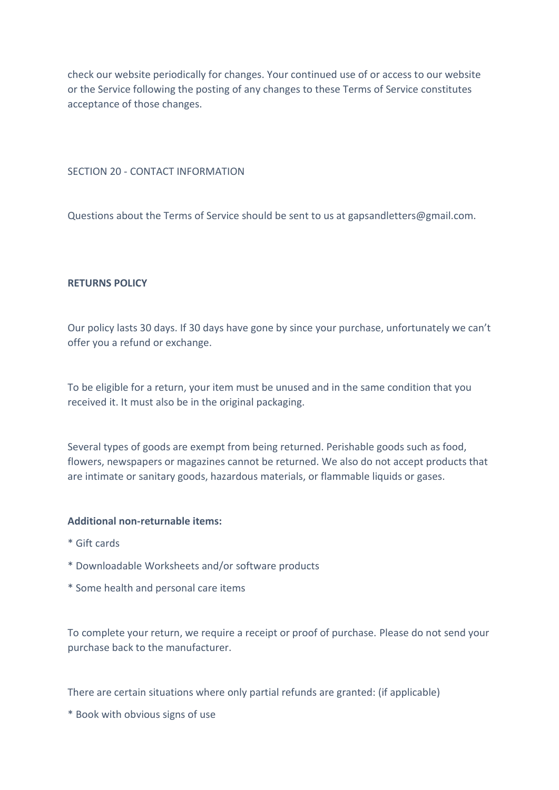check our website periodically for changes. Your continued use of or access to our website or the Service following the posting of any changes to these Terms of Service constitutes acceptance of those changes.

SECTION 20 - CONTACT INFORMATION

Questions about the Terms of Service should be sent to us at gapsandletters@gmail.com.

## **RETURNS POLICY**

Our policy lasts 30 days. If 30 days have gone by since your purchase, unfortunately we can't offer you a refund or exchange.

To be eligible for a return, your item must be unused and in the same condition that you received it. It must also be in the original packaging.

Several types of goods are exempt from being returned. Perishable goods such as food, flowers, newspapers or magazines cannot be returned. We also do not accept products that are intimate or sanitary goods, hazardous materials, or flammable liquids or gases.

### **Additional non-returnable items:**

- \* Gift cards
- \* Downloadable Worksheets and/or software products
- \* Some health and personal care items

To complete your return, we require a receipt or proof of purchase. Please do not send your purchase back to the manufacturer.

There are certain situations where only partial refunds are granted: (if applicable)

\* Book with obvious signs of use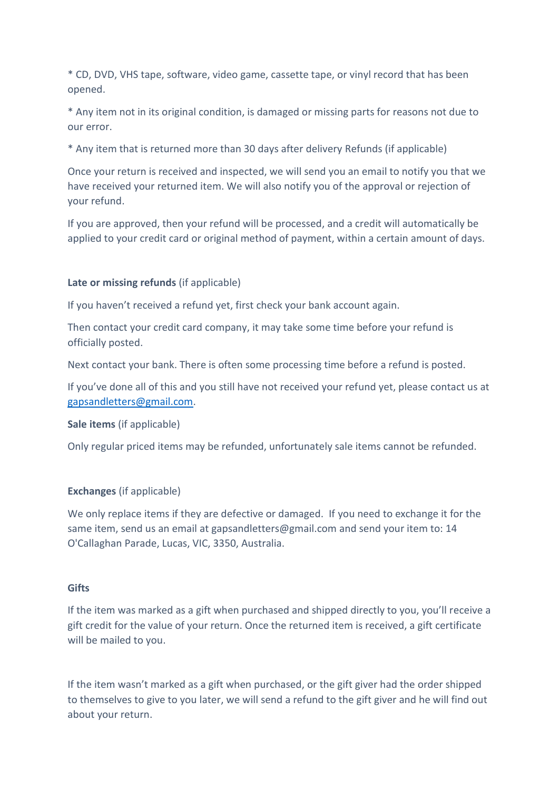\* CD, DVD, VHS tape, software, video game, cassette tape, or vinyl record that has been opened.

\* Any item not in its original condition, is damaged or missing parts for reasons not due to our error.

\* Any item that is returned more than 30 days after delivery Refunds (if applicable)

Once your return is received and inspected, we will send you an email to notify you that we have received your returned item. We will also notify you of the approval or rejection of your refund.

If you are approved, then your refund will be processed, and a credit will automatically be applied to your credit card or original method of payment, within a certain amount of days.

## **Late or missing refunds** (if applicable)

If you haven't received a refund yet, first check your bank account again.

Then contact your credit card company, it may take some time before your refund is officially posted.

Next contact your bank. There is often some processing time before a refund is posted.

If you've done all of this and you still have not received your refund yet, please contact us at [gapsandletters@gmail.com.](mailto:gapsandletters@gmail.com)

## **Sale items** (if applicable)

Only regular priced items may be refunded, unfortunately sale items cannot be refunded.

## **Exchanges** (if applicable)

We only replace items if they are defective or damaged. If you need to exchange it for the same item, send us an email at gapsandletters@gmail.com and send your item to: 14 O'Callaghan Parade, Lucas, VIC, 3350, Australia.

## **Gifts**

If the item was marked as a gift when purchased and shipped directly to you, you'll receive a gift credit for the value of your return. Once the returned item is received, a gift certificate will be mailed to you.

If the item wasn't marked as a gift when purchased, or the gift giver had the order shipped to themselves to give to you later, we will send a refund to the gift giver and he will find out about your return.